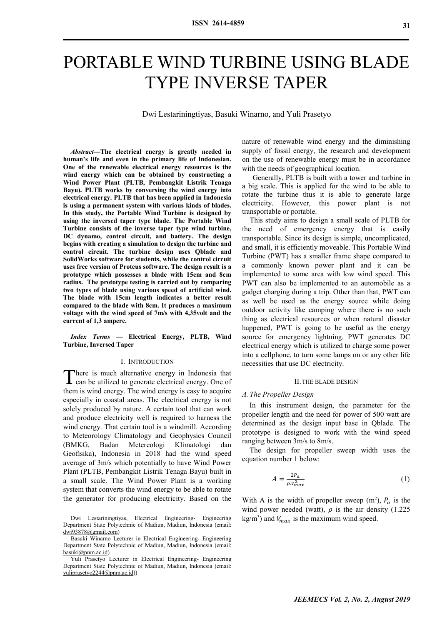# PORTABLE WIND TURBINE USING BLADE TYPE INVERSE TAPER

Dwi Lestariningtiyas, Basuki Winarno, and Yuli Prasetyo

*Abstract***—The electrical energy is greatly needed in human's life and even in the primary life of Indonesian. One of the renewable electrical energy resources is the wind energy which can be obtained by constructing a Wind Power Plant (PLTB, Pembangkit Listrik Tenaga Bayu). PLTB works by conversing the wind energy into electrical energy. PLTB that has been applied in Indonesia is using a permanent system with various kinds of blades. In this study, the Portable Wind Turbine is designed by using the inversed taper type blade. The Portable Wind Turbine consists of the inverse taper type wind turbine, DC dynamo, control circuit, and battery. The design begins with creating a simulation to design the turbine and control circuit. The turbine design uses Qblade and SolidWorks software for students, while the control circuit uses free version of Proteus software. The design result is a prototype which possesses a blade with 15cm and 8cm radius. The prototype testing is carried out by comparing two types of blade using various speed of artificial wind. The blade with 15cm length indicates a better result compared to the blade with 8cm. It produces a maximum voltage with the wind speed of 7m/s with 4,35volt and the current of 1,3 ampere.**

*Index Terms* **— Electrical Energy, PLTB, Wind Turbine, Inversed Taper**

#### I. INTRODUCTION

here is much alternative energy in Indonesia that There is much alternative energy in Indonesia that<br>can be utilized to generate electrical energy. One of them is wind energy. The wind energy is easy to acquire especially in coastal areas. The electrical energy is not solely produced by nature. A certain tool that can work and produce electricity well is required to harness the wind energy. That certain tool is a windmill. According to Meteorology Climatology and Geophysics Council (BMKG, Badan Metereologi Klimatologi dan Geofisika), Indonesia in 2018 had the wind speed average of 3m/s which potentially to have Wind Power Plant (PLTB, Pembangkit Listrik Tenaga Bayu) built in a small scale. The Wind Power Plant is a working system that converts the wind energy to be able to rotate the generator for producing electricity. Based on the

Dwi Lestariningtiyas, Electrical Engineering- Engineering Department State Polytechnic of Madiun, Madiun, Indonesia (email: dwi93878@gmail.com)

Basuki Winarno Lecturer in Electrical Engineering- Engineering Department State Polytechnic of Madiun, Madiun, Indonesia (email: basuki@pnm.ac.id)

Yuli Prasetyo Lecturer in Electrical Engineering- Engineering Department State Polytechnic of Madiun, Madiun, Indonesia (email: yuliprasetyo2244@pnm.ac.id))

nature of renewable wind energy and the diminishing supply of fossil energy, the research and development on the use of renewable energy must be in accordance with the needs of geographical location.

Generally, PLTB is built with a tower and turbine in a big scale. This is applied for the wind to be able to rotate the turbine thus it is able to generate large electricity. However, this power plant is not transportable or portable.

This study aims to design a small scale of PLTB for the need of emergency energy that is easily transportable. Since its design is simple, uncomplicated, and small, it is efficiently moveable. This Portable Wind Turbine (PWT) has a smaller frame shape compared to a commonly known power plant and it can be implemented to some area with low wind speed. This PWT can also be implemented to an automobile as a gadget charging during a trip. Other than that, PWT can as well be used as the energy source while doing outdoor activity like camping where there is no such thing as electrical resources or when natural disaster happened, PWT is going to be useful as the energy source for emergency lightning. PWT generates DC electrical energy which is utilized to charge some power into a cellphone, to turn some lamps on or any other life necessities that use DC electricity.

#### II.THE BLADE DESIGN

#### *A. The Propeller Design*

In this instrument design, the parameter for the propeller length and the need for power of 500 watt are determined as the design input base in Qblade. The prototype is designed to work with the wind speed ranging between 3m/s to 8m/s.

The design for propeller sweep width uses the equation number 1 below:

$$
A = \frac{2P_a}{\rho V_{max}^2} \tag{1}
$$

With A is the width of propeller sweep  $(m^2)$ ,  $P_a$  is the wind power needed (watt),  $\rho$  is the air density (1.225)  $kg/m<sup>3</sup>$ ) and  $V_{max}$  is the maximum wind speed.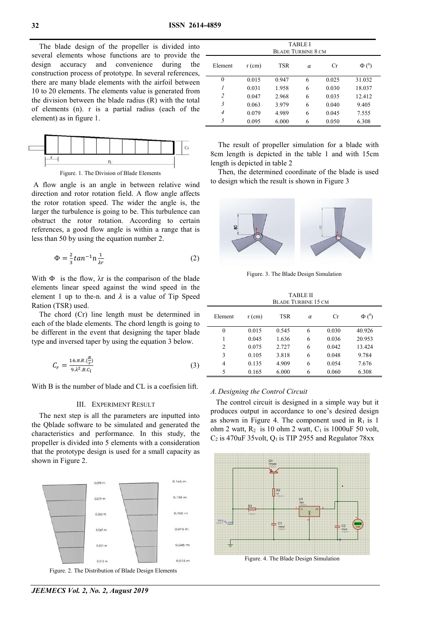The blade design of the propeller is divided into several elements whose functions are to provide the design accuracy and convenience during the construction process of prototype. In several references, there are many blade elements with the airfoil between 10 to 20 elements. The elements value is generated from the division between the blade radius (R) with the total of elements (n). r is a partial radius (each of the element) as in figure 1.



Figure. 1. The Division of Blade Elements

A flow angle is an angle in between relative wind direction and rotor rotation field. A flow angle affects the rotor rotation speed. The wider the angle is, the larger the turbulence is going to be. This turbulence can obstruct the rotor rotation. According to certain references, a good flow angle is within a range that is less than 50 by using the equation number 2.

$$
\Phi = \frac{2}{3} \tan^{-1} n \frac{1}{\lambda r} \tag{2}
$$

With  $\Phi$  is the flow,  $\lambda r$  is the comparison of the blade elements linear speed against the wind speed in the element 1 up to the-n. and  $\lambda$  is a value of Tip Speed Ration (TSR) used.

The chord (Cr) line length must be determined in each of the blade elements. The chord length is going to be different in the event that designing the taper blade type and inversed taper by using the equation 3 below.

$$
C_r = \frac{16 \pi R \left(\frac{R}{r}\right)}{9 \lambda^2 B \left(\frac{L}{l}\right)}\tag{3}
$$

With B is the number of blade and CL is a coefisien lift.

### III. EXPERIMENT RESULT

The next step is all the parameters are inputted into the Qblade software to be simulated and generated the characteristics and performance. In this study, the propeller is divided into 5 elements with a consideration that the prototype design is used for a small capacity as shown in Figure 2.



Figure. 2. The Distribution of Blade Design Elements

| <b>TABLE I</b><br><b>BLADE TURBINE 8 CM</b> |          |            |   |       |            |
|---------------------------------------------|----------|------------|---|-------|------------|
| Element                                     | $r$ (cm) | <b>TSR</b> | α | Cr    | $\Phi(^0)$ |
| 0                                           | 0.015    | 0.947      | 6 | 0.025 | 31.032     |
|                                             | 0.031    | 1.958      | 6 | 0.030 | 18.037     |
| $\overline{2}$                              | 0.047    | 2.968      | 6 | 0.035 | 12.412     |
| 3                                           | 0.063    | 3.979      | 6 | 0.040 | 9.405      |
| $\overline{4}$                              | 0.079    | 4.989      | 6 | 0.045 | 7.555      |
| 5                                           | 0.095    | 6.000      | 6 | 0.050 | 6.308      |

The result of propeller simulation for a blade with 8cm length is depicted in the table 1 and with 15cm length is depicted in table 2

Then, the determined coordinate of the blade is used to design which the result is shown in Figure 3



Figure. 3. The Blade Design Simulation

TABLE II BLADE TURBINE 15 CM

| Element | $r$ (cm) | <b>TSR</b> | $\alpha$ | Cr    | $\Phi$ ( <sup>0</sup> ) |
|---------|----------|------------|----------|-------|-------------------------|
| 0       | 0.015    | 0.545      | 6        | 0.030 | 40.926                  |
| 1       | 0.045    | 1.636      | 6        | 0.036 | 20.953                  |
| 2       | 0.075    | 2.727      | 6        | 0.042 | 13.424                  |
| 3       | 0.105    | 3.818      | 6        | 0.048 | 9.784                   |
| 4       | 0.135    | 4.909      | 6        | 0.054 | 7.676                   |
| 5       | 0.165    | 6.000      | 6        | 0.060 | 6.308                   |

#### *A. Designing the Control Circuit*

The control circuit is designed in a simple way but it produces output in accordance to one's desired design as shown in Figure 4. The component used in  $R_1$  is 1 ohm 2 watt,  $R_2$  is 10 ohm 2 watt,  $C_1$  is 1000uF 50 volt,  $C_2$  is 470uF 35volt,  $Q_1$  is TIP 2955 and Regulator 78xx



*JEEMECS Vol. 2, No. 2, August 2019*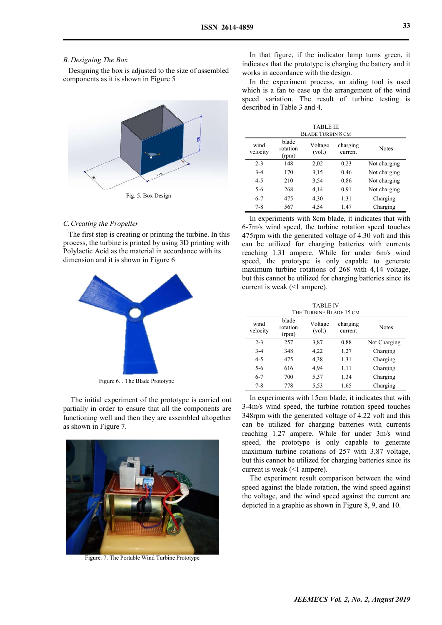## *B. Designing The Box*

Designing the box is adjusted to the size of assembled components as it is shown in Figure 5



## *C.Creating the Propeller*

The first step is creating or printing the turbine. In this process, the turbine is printed by using 3D printing with Polylactic Acid as the material in accordance with its dimension and it is shown in Figure 6



Figure 6. . The Blade Prototype

The initial experiment of the prototype is carried out partially in order to ensure that all the components are functioning well and then they are assembled altogether as shown in Figure 7.



Figure. 7. The Portable Wind Turbine Prototype

In that figure, if the indicator lamp turns green, it indicates that the prototype is charging the battery and it works in accordance with the design.

In the experiment process, an aiding tool is used which is a fan to ease up the arrangement of the wind speed variation. The result of turbine testing is described in Table 3 and 4.

| <b>TABLE III</b>         |                            |                   |                     |              |  |
|--------------------------|----------------------------|-------------------|---------------------|--------------|--|
| <b>BLADE TURBIN 8 CM</b> |                            |                   |                     |              |  |
| wind<br>velocity         | blade<br>rotation<br>(rpm) | Voltage<br>(volt) | charging<br>current | <b>Notes</b> |  |
| $2 - 3$                  | 148                        | 2,02              | 0,23                | Not charging |  |
| $3-4$                    | 170                        | 3,15              | 0,46                | Not charging |  |
| $4 - 5$                  | 210                        | 3,54              | 0,86                | Not charging |  |
| 5-6                      | 268                        | 4,14              | 0,91                | Not charging |  |
| $6 - 7$                  | 475                        | 4.30              | 1,31                | Charging     |  |
| $7 - 8$                  | 567                        | 4,54              | 1,47                | Charging     |  |

In experiments with 8cm blade, it indicates that with 6-7m/s wind speed, the turbine rotation speed touches 475rpm with the generated voltage of 4.30 volt and this can be utilized for charging batteries with currents reaching 1.31 ampere. While for under 6m/s wind speed, the prototype is only capable to generate maximum turbine rotations of 268 with 4,14 voltage, but this cannot be utilized for charging batteries since its current is weak (<1 ampere).

TABLE IV THE TURBINE BLADE 15 CM

| THE TUNDINE DLADE TJ UM |                            |                   |                     |              |  |
|-------------------------|----------------------------|-------------------|---------------------|--------------|--|
| wind<br>velocity        | blade<br>rotation<br>(rpm) | Voltage<br>(volt) | charging<br>current | <b>Notes</b> |  |
| $2 - 3$                 | 257                        | 3,87              | 0,88                | Not Charging |  |
| $3-4$                   | 348                        | 4,22              | 1,27                | Charging     |  |
| $4 - 5$                 | 475                        | 4,38              | 1,31                | Charging     |  |
| 5-6                     | 616                        | 4,94              | 1,11                | Charging     |  |
| $6 - 7$                 | 700                        | 5,37              | 1,34                | Charging     |  |
| $7 - 8$                 | 778                        | 5,53              | 1,65                | Charging     |  |

In experiments with 15cm blade, it indicates that with 3-4m/s wind speed, the turbine rotation speed touches 348rpm with the generated voltage of 4.22 volt and this can be utilized for charging batteries with currents reaching 1.27 ampere. While for under 3m/s wind speed, the prototype is only capable to generate maximum turbine rotations of 257 with 3,87 voltage, but this cannot be utilized for charging batteries since its current is weak (<1 ampere).

The experiment result comparison between the wind speed against the blade rotation, the wind speed against the voltage, and the wind speed against the current are depicted in a graphic as shown in Figure 8, 9, and 10.